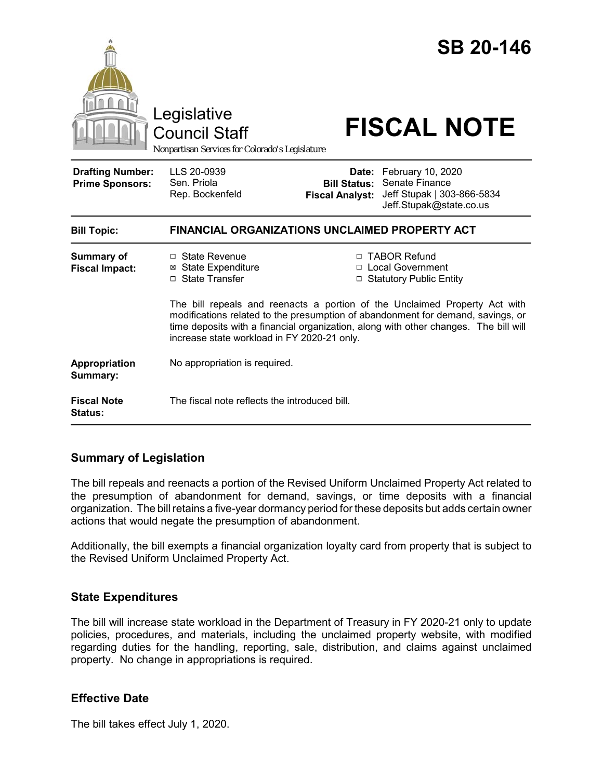|                                                   | Legislative<br><b>Council Staff</b><br>Nonpartisan Services for Colorado's Legislature                                                                                                                                                                                                               |                                                        | <b>SB 20-146</b><br><b>FISCAL NOTE</b>                                                       |
|---------------------------------------------------|------------------------------------------------------------------------------------------------------------------------------------------------------------------------------------------------------------------------------------------------------------------------------------------------------|--------------------------------------------------------|----------------------------------------------------------------------------------------------|
| <b>Drafting Number:</b><br><b>Prime Sponsors:</b> | LLS 20-0939<br>Sen. Priola<br>Rep. Bockenfeld                                                                                                                                                                                                                                                        | Date:<br><b>Bill Status:</b><br><b>Fiscal Analyst:</b> | February 10, 2020<br>Senate Finance<br>Jeff Stupak   303-866-5834<br>Jeff.Stupak@state.co.us |
| <b>Bill Topic:</b>                                | <b>FINANCIAL ORGANIZATIONS UNCLAIMED PROPERTY ACT</b>                                                                                                                                                                                                                                                |                                                        |                                                                                              |
| <b>Summary of</b><br><b>Fiscal Impact:</b>        | $\Box$ State Revenue<br><b>⊠</b> State Expenditure<br>□ State Transfer                                                                                                                                                                                                                               |                                                        | □ TABOR Refund<br>□ Local Government<br>□ Statutory Public Entity                            |
|                                                   | The bill repeals and reenacts a portion of the Unclaimed Property Act with<br>modifications related to the presumption of abandonment for demand, savings, or<br>time deposits with a financial organization, along with other changes. The bill will<br>increase state workload in FY 2020-21 only. |                                                        |                                                                                              |
| Appropriation<br>Summary:                         | No appropriation is required.                                                                                                                                                                                                                                                                        |                                                        |                                                                                              |
| <b>Fiscal Note</b><br>Status:                     | The fiscal note reflects the introduced bill.                                                                                                                                                                                                                                                        |                                                        |                                                                                              |

## **Summary of Legislation**

The bill repeals and reenacts a portion of the Revised Uniform Unclaimed Property Act related to the presumption of abandonment for demand, savings, or time deposits with a financial organization. The bill retains a five-year dormancy period for these deposits but adds certain owner actions that would negate the presumption of abandonment.

Additionally, the bill exempts a financial organization loyalty card from property that is subject to the Revised Uniform Unclaimed Property Act.

## **State Expenditures**

The bill will increase state workload in the Department of Treasury in FY 2020-21 only to update policies, procedures, and materials, including the unclaimed property website, with modified regarding duties for the handling, reporting, sale, distribution, and claims against unclaimed property. No change in appropriations is required.

## **Effective Date**

The bill takes effect July 1, 2020.